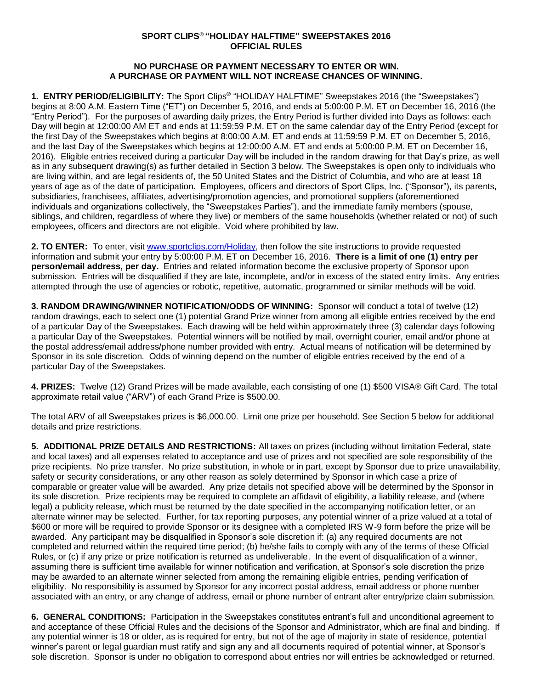## **SPORT CLIPS® "HOLIDAY HALFTIME" SWEEPSTAKES 2016 OFFICIAL RULES**

## **NO PURCHASE OR PAYMENT NECESSARY TO ENTER OR WIN. A PURCHASE OR PAYMENT WILL NOT INCREASE CHANCES OF WINNING.**

**1. ENTRY PERIOD/ELIGIBILITY:** The Sport Clips**®** "HOLIDAY HALFTIME" Sweepstakes 2016 (the "Sweepstakes") begins at 8:00 A.M. Eastern Time ("ET") on December 5, 2016, and ends at 5:00:00 P.M. ET on December 16, 2016 (the "Entry Period"). For the purposes of awarding daily prizes, the Entry Period is further divided into Days as follows: each Day will begin at 12:00:00 AM ET and ends at 11:59:59 P.M. ET on the same calendar day of the Entry Period (except for the first Day of the Sweepstakes which begins at 8:00:00 A.M. ET and ends at 11:59:59 P.M. ET on December 5, 2016, and the last Day of the Sweepstakes which begins at 12:00:00 A.M. ET and ends at 5:00:00 P.M. ET on December 16, 2016). Eligible entries received during a particular Day will be included in the random drawing for that Day's prize, as well as in any subsequent drawing(s) as further detailed in Section 3 below. The Sweepstakes is open only to individuals who are living within, and are legal residents of, the 50 United States and the District of Columbia, and who are at least 18 years of age as of the date of participation. Employees, officers and directors of Sport Clips, Inc. ("Sponsor"), its parents, subsidiaries, franchisees, affiliates, advertising/promotion agencies, and promotional suppliers (aforementioned individuals and organizations collectively, the "Sweepstakes Parties"), and the immediate family members (spouse, siblings, and children, regardless of where they live) or members of the same households (whether related or not) of such employees, officers and directors are not eligible. Void where prohibited by law.

**2. TO ENTER:** To enter, visit [www.sportclips.com/Holiday,](http://www.sportclips.com/HolidayHalftimeGiveaway) then follow the site instructions to provide requested information and submit your entry by 5:00:00 P.M. ET on December 16, 2016. **There is a limit of one (1) entry per person/email address, per day.** Entries and related information become the exclusive property of Sponsor upon submission. Entries will be disqualified if they are late, incomplete, and/or in excess of the stated entry limits. Any entries attempted through the use of agencies or robotic, repetitive, automatic, programmed or similar methods will be void.

**3. RANDOM DRAWING/WINNER NOTIFICATION/ODDS OF WINNING:** Sponsor will conduct a total of twelve (12) random drawings, each to select one (1) potential Grand Prize winner from among all eligible entries received by the end of a particular Day of the Sweepstakes. Each drawing will be held within approximately three (3) calendar days following a particular Day of the Sweepstakes. Potential winners will be notified by mail, overnight courier, email and/or phone at the postal address/email address/phone number provided with entry. Actual means of notification will be determined by Sponsor in its sole discretion. Odds of winning depend on the number of eligible entries received by the end of a particular Day of the Sweepstakes.

**4. PRIZES:** Twelve (12) Grand Prizes will be made available, each consisting of one (1) \$500 VISA® Gift Card. The total approximate retail value ("ARV") of each Grand Prize is \$500.00.

The total ARV of all Sweepstakes prizes is \$6,000.00. Limit one prize per household. See Section 5 below for additional details and prize restrictions.

**5. ADDITIONAL PRIZE DETAILS AND RESTRICTIONS:** All taxes on prizes (including without limitation Federal, state and local taxes) and all expenses related to acceptance and use of prizes and not specified are sole responsibility of the prize recipients. No prize transfer. No prize substitution, in whole or in part, except by Sponsor due to prize unavailability, safety or security considerations, or any other reason as solely determined by Sponsor in which case a prize of comparable or greater value will be awarded. Any prize details not specified above will be determined by the Sponsor in its sole discretion. Prize recipients may be required to complete an affidavit of eligibility, a liability release, and (where legal) a publicity release, which must be returned by the date specified in the accompanying notification letter, or an alternate winner may be selected. Further, for tax reporting purposes, any potential winner of a prize valued at a total of \$600 or more will be required to provide Sponsor or its designee with a completed IRS W-9 form before the prize will be awarded. Any participant may be disqualified in Sponsor's sole discretion if: (a) any required documents are not completed and returned within the required time period; (b) he/she fails to comply with any of the terms of these Official Rules, or (c) if any prize or prize notification is returned as undeliverable. In the event of disqualification of a winner, assuming there is sufficient time available for winner notification and verification, at Sponsor's sole discretion the prize may be awarded to an alternate winner selected from among the remaining eligible entries, pending verification of eligibility. No responsibility is assumed by Sponsor for any incorrect postal address, email address or phone number associated with an entry, or any change of address, email or phone number of entrant after entry/prize claim submission.

**6. GENERAL CONDITIONS:** Participation in the Sweepstakes constitutes entrant's full and unconditional agreement to and acceptance of these Official Rules and the decisions of the Sponsor and Administrator, which are final and binding. If any potential winner is 18 or older, as is required for entry, but not of the age of majority in state of residence, potential winner's parent or legal guardian must ratify and sign any and all documents required of potential winner, at Sponsor's sole discretion. Sponsor is under no obligation to correspond about entries nor will entries be acknowledged or returned.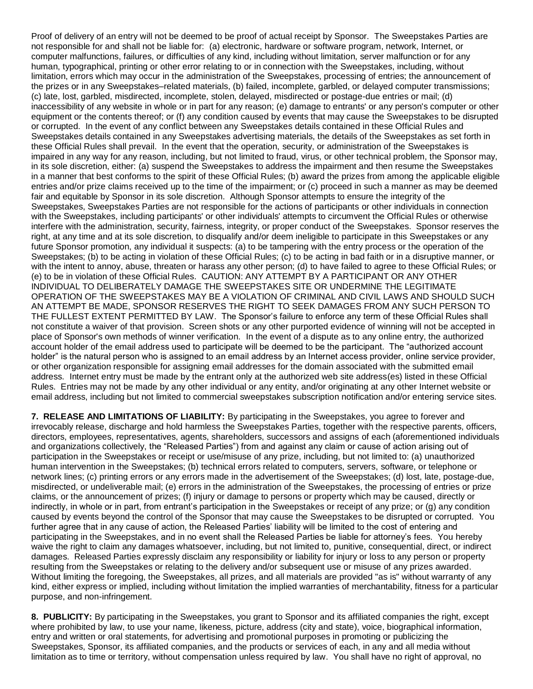Proof of delivery of an entry will not be deemed to be proof of actual receipt by Sponsor. The Sweepstakes Parties are not responsible for and shall not be liable for: (a) electronic, hardware or software program, network, Internet, or computer malfunctions, failures, or difficulties of any kind, including without limitation, server malfunction or for any human, typographical, printing or other error relating to or in connection with the Sweepstakes, including, without limitation, errors which may occur in the administration of the Sweepstakes, processing of entries; the announcement of the prizes or in any Sweepstakes–related materials, (b) failed, incomplete, garbled, or delayed computer transmissions; (c) late, lost, garbled, misdirected, incomplete, stolen, delayed, misdirected or postage-due entries or mail; (d) inaccessibility of any website in whole or in part for any reason; (e) damage to entrants' or any person's computer or other equipment or the contents thereof; or (f) any condition caused by events that may cause the Sweepstakes to be disrupted or corrupted. In the event of any conflict between any Sweepstakes details contained in these Official Rules and Sweepstakes details contained in any Sweepstakes advertising materials, the details of the Sweepstakes as set forth in these Official Rules shall prevail. In the event that the operation, security, or administration of the Sweepstakes is impaired in any way for any reason, including, but not limited to fraud, virus, or other technical problem, the Sponsor may, in its sole discretion, either: (a) suspend the Sweepstakes to address the impairment and then resume the Sweepstakes in a manner that best conforms to the spirit of these Official Rules; (b) award the prizes from among the applicable eligible entries and/or prize claims received up to the time of the impairment; or (c) proceed in such a manner as may be deemed fair and equitable by Sponsor in its sole discretion. Although Sponsor attempts to ensure the integrity of the Sweepstakes, Sweepstakes Parties are not responsible for the actions of participants or other individuals in connection with the Sweepstakes, including participants' or other individuals' attempts to circumvent the Official Rules or otherwise interfere with the administration, security, fairness, integrity, or proper conduct of the Sweepstakes. Sponsor reserves the right, at any time and at its sole discretion, to disqualify and/or deem ineligible to participate in this Sweepstakes or any future Sponsor promotion, any individual it suspects: (a) to be tampering with the entry process or the operation of the Sweepstakes; (b) to be acting in violation of these Official Rules; (c) to be acting in bad faith or in a disruptive manner, or with the intent to annoy, abuse, threaten or harass any other person; (d) to have failed to agree to these Official Rules; or (e) to be in violation of these Official Rules. CAUTION: ANY ATTEMPT BY A PARTICIPANT OR ANY OTHER INDIVIDUAL TO DELIBERATELY DAMAGE THE SWEEPSTAKES SITE OR UNDERMINE THE LEGITIMATE OPERATION OF THE SWEEPSTAKES MAY BE A VIOLATION OF CRIMINAL AND CIVIL LAWS AND SHOULD SUCH AN ATTEMPT BE MADE, SPONSOR RESERVES THE RIGHT TO SEEK DAMAGES FROM ANY SUCH PERSON TO THE FULLEST EXTENT PERMITTED BY LAW. The Sponsor's failure to enforce any term of these Official Rules shall not constitute a waiver of that provision. Screen shots or any other purported evidence of winning will not be accepted in place of Sponsor's own methods of winner verification. In the event of a dispute as to any online entry, the authorized account holder of the email address used to participate will be deemed to be the participant. The "authorized account holder" is the natural person who is assigned to an email address by an Internet access provider, online service provider, or other organization responsible for assigning email addresses for the domain associated with the submitted email address. Internet entry must be made by the entrant only at the authorized web site address(es) listed in these Official Rules. Entries may not be made by any other individual or any entity, and/or originating at any other Internet website or email address, including but not limited to commercial sweepstakes subscription notification and/or entering service sites.

**7. RELEASE AND LIMITATIONS OF LIABILITY:** By participating in the Sweepstakes, you agree to forever and irrevocably release, discharge and hold harmless the Sweepstakes Parties, together with the respective parents, officers, directors, employees, representatives, agents, shareholders, successors and assigns of each (aforementioned individuals and organizations collectively, the "Released Parties") from and against any claim or cause of action arising out of participation in the Sweepstakes or receipt or use/misuse of any prize, including, but not limited to: (a) unauthorized human intervention in the Sweepstakes; (b) technical errors related to computers, servers, software, or telephone or network lines; (c) printing errors or any errors made in the advertisement of the Sweepstakes; (d) lost, late, postage-due, misdirected, or undeliverable mail; (e) errors in the administration of the Sweepstakes, the processing of entries or prize claims, or the announcement of prizes; (f) injury or damage to persons or property which may be caused, directly or indirectly, in whole or in part, from entrant's participation in the Sweepstakes or receipt of any prize; or (g) any condition caused by events beyond the control of the Sponsor that may cause the Sweepstakes to be disrupted or corrupted. You further agree that in any cause of action, the Released Parties' liability will be limited to the cost of entering and participating in the Sweepstakes, and in no event shall the Released Parties be liable for attorney's fees. You hereby waive the right to claim any damages whatsoever, including, but not limited to, punitive, consequential, direct, or indirect damages. Released Parties expressly disclaim any responsibility or liability for injury or loss to any person or property resulting from the Sweepstakes or relating to the delivery and/or subsequent use or misuse of any prizes awarded. Without limiting the foregoing, the Sweepstakes, all prizes, and all materials are provided "as is" without warranty of any kind, either express or implied, including without limitation the implied warranties of merchantability, fitness for a particular purpose, and non-infringement.

**8. PUBLICITY:** By participating in the Sweepstakes, you grant to Sponsor and its affiliated companies the right, except where prohibited by law, to use your name, likeness, picture, address (city and state), voice, biographical information, entry and written or oral statements, for advertising and promotional purposes in promoting or publicizing the Sweepstakes, Sponsor, its affiliated companies, and the products or services of each, in any and all media without limitation as to time or territory, without compensation unless required by law. You shall have no right of approval, no